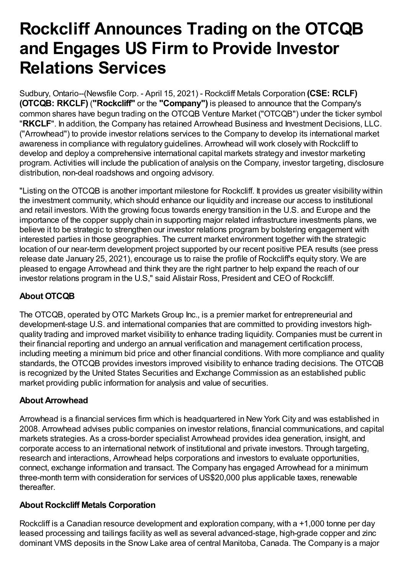# **Rockcliff Announces Trading on the OTCQB and Engages US Firm to Provide Investor Relations Services**

Sudbury, Ontario--(Newsfile Corp. - April 15, 2021) - Rockcliff Metals Corporation **(CSE: RCLF) (OTCQB: RKCLF)** (**"Rockcliff"** or the **"Company")** is pleased to announce that the Company's common shares have begun trading on the OTCQB Venture Market ("OTCQB") under the ticker symbol "**RKCLF**". In addition, the Company has retained Arrowhead Business and Investment Decisions, LLC. ("Arrowhead") to provide investor relations services to the Company to develop its international market awareness in compliance with regulatory guidelines. Arrowhead will work closely with Rockcliff to develop and deploy a comprehensive international capital markets strategy and investor marketing program. Activities will include the publication of analysis on the Company, investor targeting, disclosure distribution, non-deal roadshows and ongoing advisory.

"Listing on the OTCQB is another important milestone for Rockcliff. It provides us greater visibility within the investment community, which should enhance our liquidity and increase our access to institutional and retail investors. With the growing focus towards energy transition in the U.S. and Europe and the importance of the copper supply chain in supporting major related infrastructure investments plans, we believe it to be strategic to strengthen our investor relations program by bolstering engagement with interested parties in those geographies. The current market environment together with the strategic location of our near-term development project supported by our recent positive PEA results (see press release date January 25, 2021), encourage us to raise the profile of Rockcliff's equity story. We are pleased to engage Arrowhead and think they are the right partner to help expand the reach of our investor relations program in the U.S," said Alistair Ross, President and CEO of Rockcliff.

## **About OTCQB**

The OTCQB, operated by OTC Markets Group Inc., is a premier market for entrepreneurial and development-stage U.S. and international companies that are committed to providing investors highquality trading and improved market visibility to enhance trading liquidity. Companies must be current in their financial reporting and undergo an annual verification and management certification process, including meeting a minimum bid price and other financial conditions. With more compliance and quality standards, the OTCQB provides investors improved visibility to enhance trading decisions. The OTCQB is recognized by the United States Securities and Exchange Commission as an established public market providing public information for analysis and value of securities.

### **About Arrowhead**

Arrowhead is a financial services firm which is headquartered in New York City and was established in 2008. Arrowhead advises public companies on investor relations, financial communications, and capital markets strategies. As a cross-border specialist Arrowhead provides idea generation, insight, and corporate access to an international network of institutional and private investors. Through targeting, research and interactions, Arrowhead helps corporations and investors to evaluate opportunities, connect, exchange information and transact. The Company has engaged Arrowhead for a minimum three-month term with consideration for services of US\$20,000 plus applicable taxes, renewable thereafter.

#### **About Rockcliff Metals Corporation**

Rockcliff is a Canadian resource development and exploration company, with a +1,000 tonne per day leased processing and tailings facility as well as several advanced-stage, high-grade copper and zinc dominant VMS deposits in the Snow Lake area of central Manitoba, Canada. The Company is a major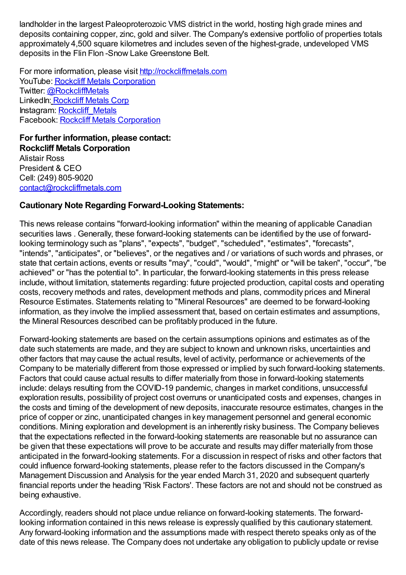landholder in the largest Paleoproterozoic VMS district in the world, hosting high grade mines and deposits containing copper, zinc, gold and silver. The Company's extensive portfolio of properties totals approximately 4,500 square kilometres and includes seven of the highest-grade, undeveloped VMS deposits in the Flin Flon -Snow Lake Greenstone Belt.

For more information, please visit [http://rockcliffmetals.com](https://www.newsfilecorp.com/redirect/8QNjsyGWx) YouTube: Rockcliff Metals [Corporation](https://www.newsfilecorp.com/redirect/yykOSk1gG) Twitter: [@RockcliffMetals](https://www.newsfilecorp.com/redirect/1VANFerZb) LinkedIn: [Rockcliff](https://www.newsfilecorp.com/redirect/AwJLsayPg) Metals Corp Instagram: [Rockcliff\\_Metals](https://www.newsfilecorp.com/redirect/ZV3BFDm1M) Facebook: Rockcliff Metals [Corporation](https://www.newsfilecorp.com/redirect/aQ5gsqRJ1)

**For further information, please contact: Rockcliff Metals Corporation** Alistair Ross President & CEO Cell: (249) 805-9020 [contact@rockcliffmetals.com](mailto:contact@rockcliffmetals.com)

#### **Cautionary Note Regarding Forward-Looking Statements:**

This news release contains "forward-looking information" within the meaning of applicable Canadian securities laws . Generally, these forward-looking statements can be identified by the use of forwardlooking terminology such as "plans", "expects", "budget", "scheduled", "estimates", "forecasts", "intends", "anticipates", or "believes", or the negatives and / or variations of such words and phrases, or state that certain actions, events or results "may", "could", "would", "might" or "will be taken", "occur", "be achieved" or "has the potential to". In particular, the forward-looking statements in this press release include, without limitation, statements regarding: future projected production, capital costs and operating costs, recovery methods and rates, development methods and plans, commodity prices and Mineral Resource Estimates. Statements relating to "Mineral Resources" are deemed to be forward-looking information, as they involve the implied assessment that, based on certain estimates and assumptions, the Mineral Resources described can be profitably produced in the future.

Forward-looking statements are based on the certain assumptions opinions and estimates as of the date such statements are made, and they are subject to known and unknown risks, uncertainties and other factors that may cause the actual results, level of activity, performance or achievements of the Company to be materially different from those expressed or implied by such forward-looking statements. Factors that could cause actual results to differ materially from those in forward-looking statements include: delays resulting from the COVID-19 pandemic, changes in market conditions, unsuccessful exploration results, possibility of project cost overruns or unanticipated costs and expenses, changes in the costs and timing of the development of new deposits, inaccurate resource estimates, changes in the price of copper or zinc, unanticipated changes in key management personnel and general economic conditions. Mining exploration and development is an inherently risky business. The Company believes that the expectations reflected in the forward-looking statements are reasonable but no assurance can be given that these expectations will prove to be accurate and results may differ materially from those anticipated in the forward-looking statements. For a discussion in respect of risks and other factors that could influence forward-looking statements, please refer to the factors discussed in the Company's Management Discussion and Analysis for the year ended March 31, 2020 and subsequent quarterly financial reports under the heading 'Risk Factors'. These factors are not and should not be construed as being exhaustive.

Accordingly, readers should not place undue reliance on forward-looking statements. The forwardlooking information contained in this news release is expressly qualified by this cautionary statement. Any forward-looking information and the assumptions made with respect thereto speaks only as of the date of this news release. The Company does not undertake any obligation to publicly update or revise